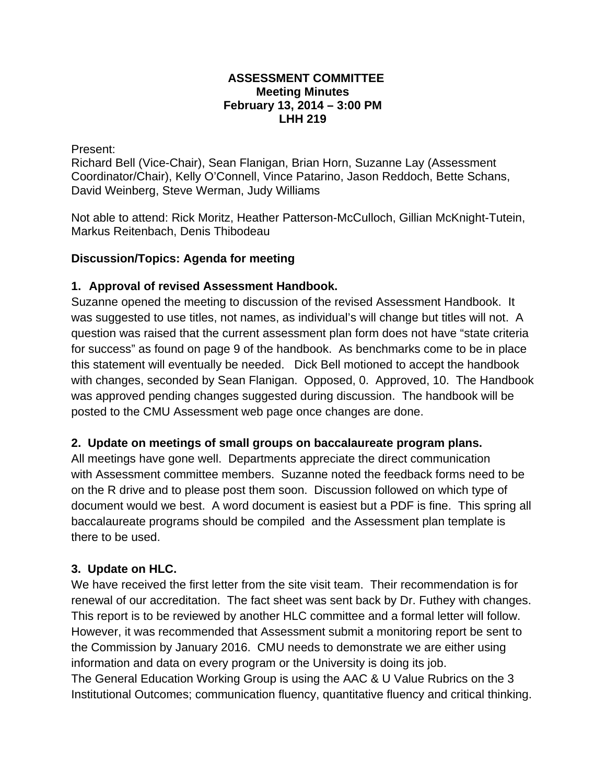#### **ASSESSMENT COMMITTEE Meeting Minutes February 13, 2014 – 3:00 PM LHH 219**

Present:

Richard Bell (Vice-Chair), Sean Flanigan, Brian Horn, Suzanne Lay (Assessment Coordinator/Chair), Kelly O'Connell, Vince Patarino, Jason Reddoch, Bette Schans, David Weinberg, Steve Werman, Judy Williams

Not able to attend: Rick Moritz, Heather Patterson-McCulloch, Gillian McKnight-Tutein, Markus Reitenbach, Denis Thibodeau

### **Discussion/Topics: Agenda for meeting**

### **1. Approval of revised Assessment Handbook.**

Suzanne opened the meeting to discussion of the revised Assessment Handbook. It was suggested to use titles, not names, as individual's will change but titles will not. A question was raised that the current assessment plan form does not have "state criteria for success" as found on page 9 of the handbook. As benchmarks come to be in place this statement will eventually be needed. Dick Bell motioned to accept the handbook with changes, seconded by Sean Flanigan. Opposed, 0. Approved, 10. The Handbook was approved pending changes suggested during discussion. The handbook will be posted to the CMU Assessment web page once changes are done.

# **2. Update on meetings of small groups on baccalaureate program plans.**

All meetings have gone well. Departments appreciate the direct communication with Assessment committee members. Suzanne noted the feedback forms need to be on the R drive and to please post them soon. Discussion followed on which type of document would we best. A word document is easiest but a PDF is fine. This spring all baccalaureate programs should be compiled and the Assessment plan template is there to be used.

# **3. Update on HLC.**

We have received the first letter from the site visit team. Their recommendation is for renewal of our accreditation. The fact sheet was sent back by Dr. Futhey with changes. This report is to be reviewed by another HLC committee and a formal letter will follow. However, it was recommended that Assessment submit a monitoring report be sent to the Commission by January 2016. CMU needs to demonstrate we are either using information and data on every program or the University is doing its job. The General Education Working Group is using the AAC & U Value Rubrics on the 3 Institutional Outcomes; communication fluency, quantitative fluency and critical thinking.